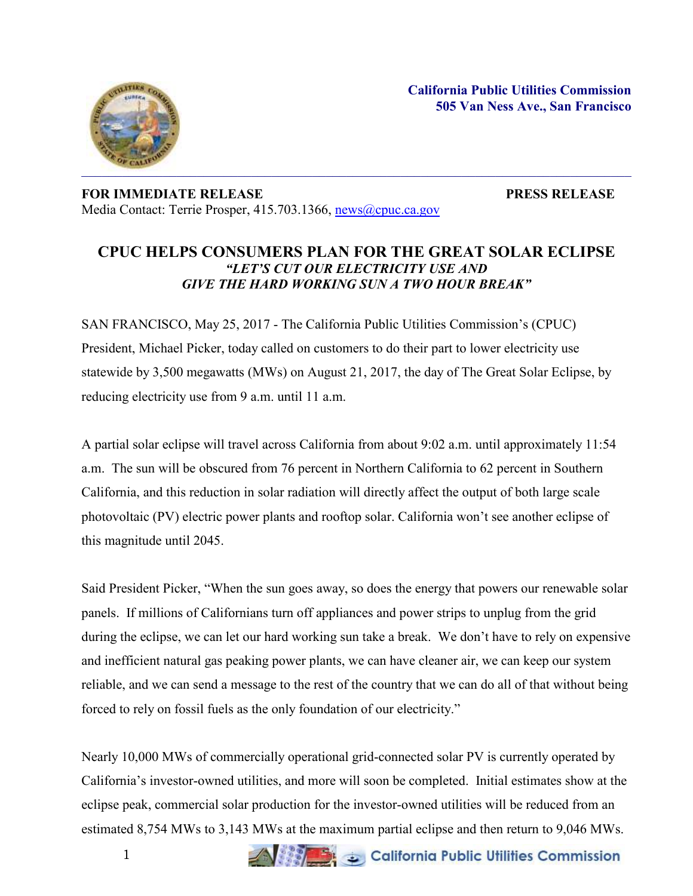**California Public Utilities Commission 505 Van Ness Ave., San Francisco**



## **FOR IMMEDIATE RELEASE PRESS RELEASE** Media Contact: Terrie Prosper, 415.703.1366, [news@cpuc.ca.gov](mailto:news@cpuc.ca.gov)

## **CPUC HELPS CONSUMERS PLAN FOR THE GREAT SOLAR ECLIPSE**  *"LET'S CUT OUR ELECTRICITY USE AND GIVE THE HARD WORKING SUN A TWO HOUR BREAK"*

SAN FRANCISCO, May 25, 2017 - The California Public Utilities Commission's (CPUC) President, Michael Picker, today called on customers to do their part to lower electricity use statewide by 3,500 megawatts (MWs) on August 21, 2017, the day of The Great Solar Eclipse, by reducing electricity use from 9 a.m. until 11 a.m.

A partial solar eclipse will travel across California from about 9:02 a.m. until approximately 11:54 a.m. The sun will be obscured from 76 percent in Northern California to 62 percent in Southern California, and this reduction in solar radiation will directly affect the output of both large scale photovoltaic (PV) electric power plants and rooftop solar. California won't see another eclipse of this magnitude until 2045.

Said President Picker, "When the sun goes away, so does the energy that powers our renewable solar panels. If millions of Californians turn off appliances and power strips to unplug from the grid during the eclipse, we can let our hard working sun take a break. We don't have to rely on expensive and inefficient natural gas peaking power plants, we can have cleaner air, we can keep our system reliable, and we can send a message to the rest of the country that we can do all of that without being forced to rely on fossil fuels as the only foundation of our electricity."

Nearly 10,000 MWs of commercially operational grid-connected solar PV is currently operated by California's investor-owned utilities, and more will soon be completed. Initial estimates show at the eclipse peak, commercial solar production for the investor-owned utilities will be reduced from an estimated 8,754 MWs to 3,143 MWs at the maximum partial eclipse and then return to 9,046 MWs.

California Public Utilities Commission